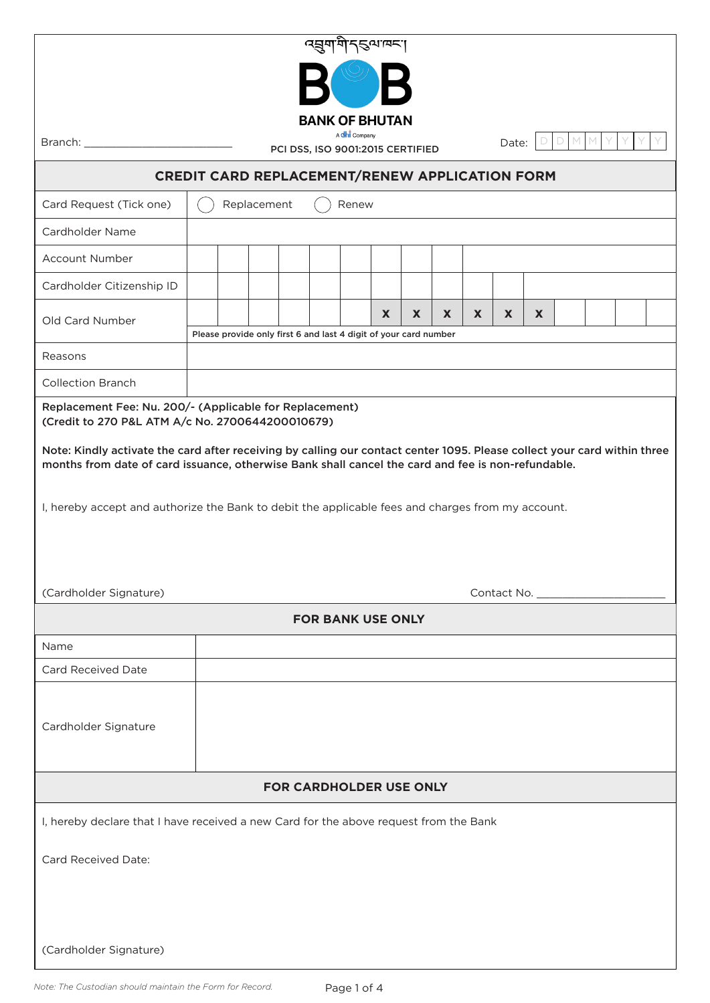| <i>प्तु</i> याम् अपि स्थान्य                                                                                                                                                                                                                                                                                                                                  |                                                                                                  |  |
|---------------------------------------------------------------------------------------------------------------------------------------------------------------------------------------------------------------------------------------------------------------------------------------------------------------------------------------------------------------|--------------------------------------------------------------------------------------------------|--|
|                                                                                                                                                                                                                                                                                                                                                               |                                                                                                  |  |
| <b>BANK OF BHUTAN</b>                                                                                                                                                                                                                                                                                                                                         |                                                                                                  |  |
| Branch: _                                                                                                                                                                                                                                                                                                                                                     | A <b>dhi</b> Company<br>D<br>M<br>Date:<br>PCI DSS, ISO 9001:2015 CERTIFIED                      |  |
| CREDIT CARD REPLACEMENT/RENEW APPLICATION FORM                                                                                                                                                                                                                                                                                                                |                                                                                                  |  |
| Card Request (Tick one)                                                                                                                                                                                                                                                                                                                                       | Replacement<br>Renew                                                                             |  |
| Cardholder Name                                                                                                                                                                                                                                                                                                                                               |                                                                                                  |  |
| <b>Account Number</b>                                                                                                                                                                                                                                                                                                                                         |                                                                                                  |  |
| Cardholder Citizenship ID                                                                                                                                                                                                                                                                                                                                     |                                                                                                  |  |
| Old Card Number                                                                                                                                                                                                                                                                                                                                               | X<br>X<br>X<br>X.<br>X<br>X.<br>Please provide only first 6 and last 4 digit of your card number |  |
| Reasons                                                                                                                                                                                                                                                                                                                                                       |                                                                                                  |  |
| <b>Collection Branch</b>                                                                                                                                                                                                                                                                                                                                      |                                                                                                  |  |
| Replacement Fee: Nu. 200/- (Applicable for Replacement)<br>(Credit to 270 P&L ATM A/c No. 2700644200010679)                                                                                                                                                                                                                                                   |                                                                                                  |  |
| Note: Kindly activate the card after receiving by calling our contact center 1095. Please collect your card within three<br>months from date of card issuance, otherwise Bank shall cancel the card and fee is non-refundable.<br>I, hereby accept and authorize the Bank to debit the applicable fees and charges from my account.<br>(Cardholder Signature) |                                                                                                  |  |
| <b>FOR BANK USE ONLY</b>                                                                                                                                                                                                                                                                                                                                      |                                                                                                  |  |
| Name                                                                                                                                                                                                                                                                                                                                                          |                                                                                                  |  |
| <b>Card Received Date</b>                                                                                                                                                                                                                                                                                                                                     |                                                                                                  |  |
| Cardholder Signature                                                                                                                                                                                                                                                                                                                                          |                                                                                                  |  |
| <b>FOR CARDHOLDER USE ONLY</b>                                                                                                                                                                                                                                                                                                                                |                                                                                                  |  |
| I, hereby declare that I have received a new Card for the above request from the Bank                                                                                                                                                                                                                                                                         |                                                                                                  |  |
| Card Received Date:                                                                                                                                                                                                                                                                                                                                           |                                                                                                  |  |
|                                                                                                                                                                                                                                                                                                                                                               |                                                                                                  |  |
|                                                                                                                                                                                                                                                                                                                                                               |                                                                                                  |  |
| (Cardholder Signature)                                                                                                                                                                                                                                                                                                                                        |                                                                                                  |  |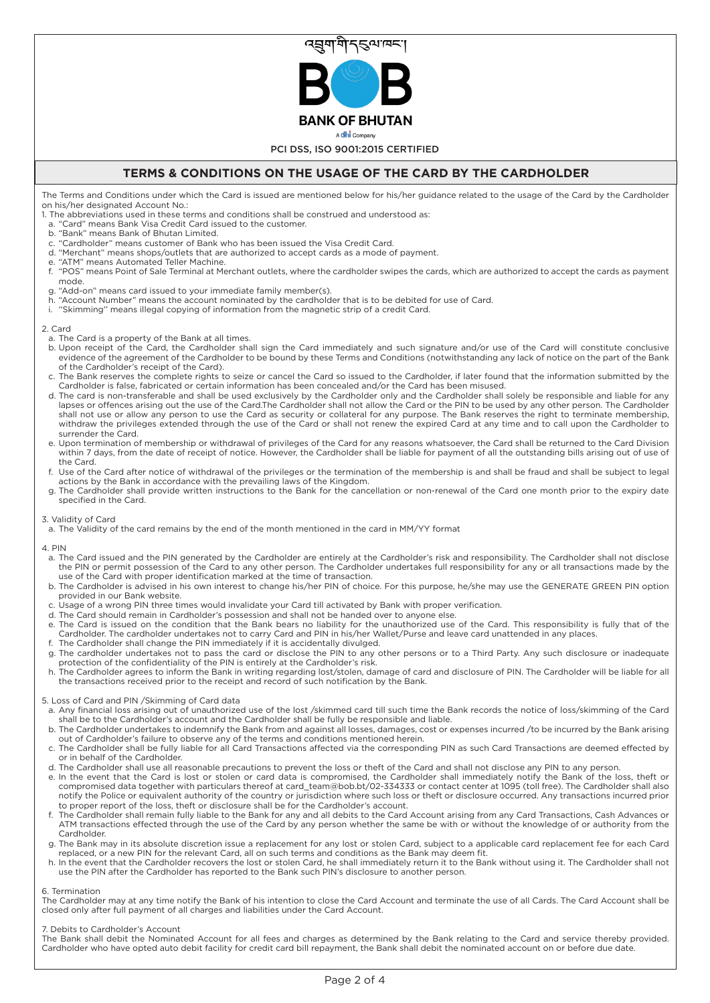

PCI DSS, ISO 9001:2015 CERTIFIED

# **TERMS & CONDITIONS ON THE USAGE OF THE CARD BY THE CARDHOLDER**

The Terms and Conditions under which the Card is issued are mentioned below for his/her guidance related to the usage of the Card by the Cardholder on his/her designated Account No.:

1. The abbreviations used in these terms and conditions shall be construed and understood as:

- a. "Card" means Bank Visa Credit Card issued to the customer.
- b. "Bank" means Bank of Bhutan Limited.
- "Cardholder" means customer of Bank who has been issued the Visa Credit Card.
- d. "Merchant" means shops/outlets that are authorized to accept cards as a mode of payment.
- e. "ATM" means Automated Teller Machine.
- f. "POS" means Point of Sale Terminal at Merchant outlets, where the cardholder swipes the cards, which are authorized to accept the cards as payment mode.
- g. "Add-on" means card issued to your immediate family member(s).
- h. "Account Number" means the account nominated by the cardholder that is to be debited for use of Card.
- i. ''Skimming'' means illegal copying of information from the magnetic strip of a credit Card.

#### 2. Card

- a. The Card is a property of the Bank at all times.
- b. Upon receipt of the Card, the Cardholder shall sign the Card immediately and such signature and/or use of the Card will constitute conclusive evidence of the agreement of the Cardholder to be bound by these Terms and Conditions (notwithstanding any lack of notice on the part of the Bank of the Cardholder's receipt of the Card).
- c. The Bank reserves the complete rights to seize or cancel the Card so issued to the Cardholder, if later found that the information submitted by the Cardholder is false, fabricated or certain information has been concealed and/or the Card has been misused.
- d. The card is non-transferable and shall be used exclusively by the Cardholder only and the Cardholder shall solely be responsible and liable for any lapses or offences arising out the use of the Card.The Cardholder shall not allow the Card or the PIN to be used by any other person. The Cardholder shall not use or allow any person to use the Card as security or collateral for any purpose. The Bank reserves the right to terminate membership, withdraw the privileges extended through the use of the Card or shall not renew the expired Card at any time and to call upon the Cardholder to surrender the Card.
- e. Upon termination of membership or withdrawal of privileges of the Card for any reasons whatsoever, the Card shall be returned to the Card Division within 7 days, from the date of receipt of notice. However, the Cardholder shall be liable for payment of all the outstanding bills arising out of use of the Card.
- f. Use of the Card after notice of withdrawal of the privileges or the termination of the membership is and shall be fraud and shall be subject to legal actions by the Bank in accordance with the prevailing laws of the Kingdom.
- g. The Cardholder shall provide written instructions to the Bank for the cancellation or non-renewal of the Card one month prior to the expiry date specified in the Card.

#### 3. Validity of Card

a. The Validity of the card remains by the end of the month mentioned in the card in MM/YY format

4. PIN

- a. The Card issued and the PIN generated by the Cardholder are entirely at the Cardholder's risk and responsibility. The Cardholder shall not disclose the PIN or permit possession of the Card to any other person. The Cardholder undertakes full responsibility for any or all transactions made by the use of the Card with proper identification marked at the time of transaction.
- b. The Cardholder is advised in his own interest to change his/her PIN of choice. For this purpose, he/she may use the GENERATE GREEN PIN option provided in our Bank website.
- c. Usage of a wrong PIN three times would invalidate your Card till activated by Bank with proper verification.
- d. The Card should remain in Cardholder's possession and shall not be handed over to anyone else. e. The Card is issued on the condition that the Bank bears no liability for the unauthorized use of the Card. This responsibility is fully that of the Cardholder. The cardholder undertakes not to carry Card and PIN in his/her Wallet/Purse and leave card unattended in any places.
- f. The Cardholder shall change the PIN immediately if it is accidentally divulged. g. The cardholder undertakes not to pass the card or disclose the PIN to any other persons or to a Third Party. Any such disclosure or inadequate protection of the confidentiality of the PIN is entirely at the Cardholder's risk.
- h. The Cardholder agrees to inform the Bank in writing regarding lost/stolen, damage of card and disclosure of PIN. The Cardholder will be liable for all the transactions received prior to the receipt and record of such notification by the Bank.

# 5. Loss of Card and PIN /Skimming of Card data

- a. Any financial loss arising out of unauthorized use of the lost /skimmed card till such time the Bank records the notice of loss/skimming of the Card shall be to the Cardholder's account and the Cardholder shall be fully be responsible and liable.
- b. The Cardholder undertakes to indemnify the Bank from and against all losses, damages, cost or expenses incurred /to be incurred by the Bank arising out of Cardholder's failure to observe any of the terms and conditions mentioned herein. c. The Cardholder shall be fully liable for all Card Transactions affected via the corresponding PIN as such Card Transactions are deemed effected by
- or in behalf of the Cardholder.
- d. The Cardholder shall use all reasonable precautions to prevent the loss or theft of the Card and shall not disclose any PIN to any person.
- e. In the event that the Card is lost or stolen or card data is compromised, the Cardholder shall immediately notify the Bank of the loss, theft or compromised data together with particulars thereof at card\_team@bob.bt/02-334333 or contact center at 1095 (toll free). The Cardholder shall also notify the Police or equivalent authority of the country or jurisdiction where such loss or theft or disclosure occurred. Any transactions incurred prior to proper report of the loss, theft or disclosure shall be for the Cardholder's account.
- f. The Cardholder shall remain fully liable to the Bank for any and all debits to the Card Account arising from any Card Transactions, Cash Advances or ATM transactions effected through the use of the Card by any person whether the same be with or without the knowledge of or authority from the **Cardholder**
- g. The Bank may in its absolute discretion issue a replacement for any lost or stolen Card, subject to a applicable card replacement fee for each Card replaced, or a new PIN for the relevant Card, all on such terms and conditions as the Bank may deem fit.
- h. In the event that the Cardholder recovers the lost or stolen Card, he shall immediately return it to the Bank without using it. The Cardholder shall not use the PIN after the Cardholder has reported to the Bank such PIN's disclosure to another person.

## 6. Termination

The Cardholder may at any time notify the Bank of his intention to close the Card Account and terminate the use of all Cards. The Card Account shall be closed only after full payment of all charges and liabilities under the Card Account.

## 7. Debits to Cardholder's Account

The Bank shall debit the Nominated Account for all fees and charges as determined by the Bank relating to the Card and service thereby provided. Cardholder who have opted auto debit facility for credit card bill repayment, the Bank shall debit the nominated account on or before due date.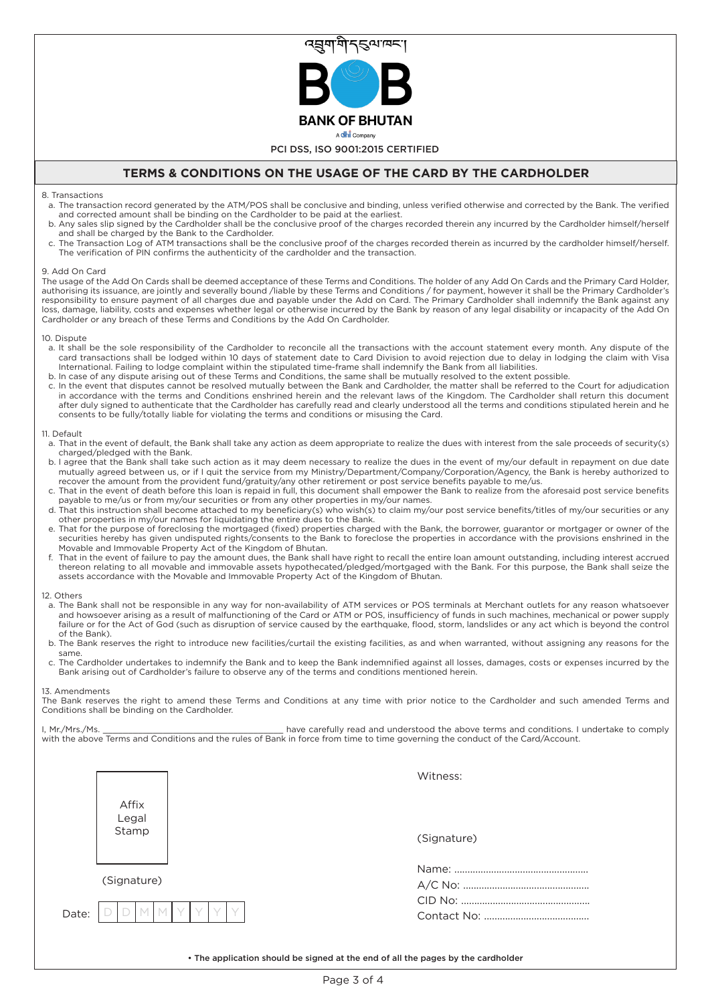

# **TERMS & CONDITIONS ON THE USAGE OF THE CARD BY THE CARDHOLDER**

# 8. Transactions

- a. The transaction record generated by the ATM/POS shall be conclusive and binding, unless verified otherwise and corrected by the Bank. The verified and corrected amount shall be binding on the Cardholder to be paid at the earliest.
- b. Any sales slip signed by the Cardholder shall be the conclusive proof of the charges recorded therein any incurred by the Cardholder himself/herself and shall be charged by the Bank to the Cardholder.
- c. The Transaction Log of ATM transactions shall be the conclusive proof of the charges recorded therein as incurred by the cardholder himself/herself. The verification of PIN confirms the authenticity of the cardholder and the transaction.

## 9. Add On Card

The usage of the Add On Cards shall be deemed acceptance of these Terms and Conditions. The holder of any Add On Cards and the Primary Card Holder, authorising its issuance, are jointly and severally bound /liable by these Terms and Conditions / for payment, however it shall be the Primary Cardholder's responsibility to ensure payment of all charges due and payable under the Add on Card. The Primary Cardholder shall indemnify the Bank against any loss, damage, liability, costs and expenses whether legal or otherwise incurred by the Bank by reason of any legal disability or incapacity of the Add On Cardholder or any breach of these Terms and Conditions by the Add On Cardholder.

#### 10. Dispute

- a. It shall be the sole responsibility of the Cardholder to reconcile all the transactions with the account statement every month. Any dispute of the card transactions shall be lodged within 10 days of statement date to Card Division to avoid rejection due to delay in lodging the claim with Visa International. Failing to lodge complaint within the stipulated time-frame shall indemnify the Bank from all liabilities.
- b. In case of any dispute arising out of these Terms and Conditions, the same shall be mutually resolved to the extent possible.
- c. In the event that disputes cannot be resolved mutually between the Bank and Cardholder, the matter shall be referred to the Court for adjudication in accordance with the terms and Conditions enshrined herein and the relevant laws of the Kingdom. The Cardholder shall return this document after duly signed to authenticate that the Cardholder has carefully read and clearly understood all the terms and conditions stipulated herein and he consents to be fully/totally liable for violating the terms and conditions or misusing the Card.

## 11. Default

- a. That in the event of default, the Bank shall take any action as deem appropriate to realize the dues with interest from the sale proceeds of security(s) charged/pledged with the Bank.
- b. I agree that the Bank shall take such action as it may deem necessary to realize the dues in the event of my/our default in repayment on due date mutually agreed between us, or if I quit the service from my Ministry/Department/Company/Corporation/Agency, the Bank is hereby authorized to recover the amount from the provident fund/gratuity/any other retirement or post service benefits payable to me/us.
- c. That in the event of death before this loan is repaid in full, this document shall empower the Bank to realize from the aforesaid post service benefits payable to me/us or from my/our securities or from any other properties in my/our names.
- d. That this instruction shall become attached to my beneficiary(s) who wish(s) to claim my/our post service benefits/titles of my/our securities or any other properties in my/our names for liquidating the entire dues to the Bank.
- e. That for the purpose of foreclosing the mortgaged (fixed) properties charged with the Bank, the borrower, guarantor or mortgager or owner of the securities hereby has given undisputed rights/consents to the Bank to foreclose the properties in accordance with the provisions enshrined in the Movable and Immovable Property Act of the Kingdom of Bhutan.
- f. That in the event of failure to pay the amount dues, the Bank shall have right to recall the entire loan amount outstanding, including interest accrued thereon relating to all movable and immovable assets hypothecated/pledged/mortgaged with the Bank. For this purpose, the Bank shall seize the assets accordance with the Movable and Immovable Property Act of the Kingdom of Bhutan.

#### 12. Others

- a. The Bank shall not be responsible in any way for non-availability of ATM services or POS terminals at Merchant outlets for any reason whatsoever and howsoever arising as a result of malfunctioning of the Card or ATM or POS, insufficiency of funds in such machines, mechanical or power supply failure or for the Act of God (such as disruption of service caused by the earthquake, flood, storm, landslides or any act which is beyond the control of the Bank).
- b. The Bank reserves the right to introduce new facilities/curtail the existing facilities, as and when warranted, without assigning any reasons for the same.
- c. The Cardholder undertakes to indemnify the Bank and to keep the Bank indemnified against all losses, damages, costs or expenses incurred by the Bank arising out of Cardholder's failure to observe any of the terms and conditions mentioned herein.

#### 13. Amendments

The Bank reserves the right to amend these Terms and Conditions at any time with prior notice to the Cardholder and such amended Terms and Conditions shall be binding on the Cardholder.

I, Mr./Mrs./Ms. This is a metally read and understood the above terms and conditions. I undertake to comply with the above Terms and Conditions and the rules of Bank in force from time to time governing the conduct of the Card/Account.

|                         | Witness:    |
|-------------------------|-------------|
| Affix<br>Legal<br>Stamp | (Signature) |
| (Signature)             |             |
| Date:                   |             |

• The application should be signed at the end of all the pages by the cardholder